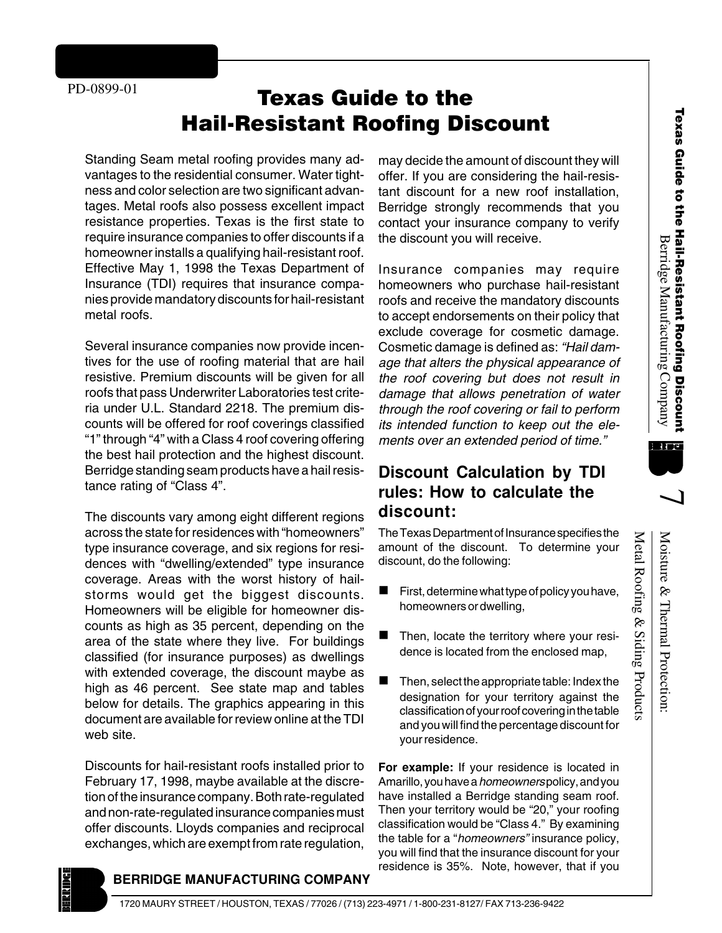# Texas Guide to the **Hail-Resistant Roofing Discount**

Standing Seam metal roofing provides many advantages to the residential consumer. Water tightness and color selection are two significant advantages. Metal roofs also possess excellent impact resistance properties. Texas is the first state to require insurance companies to offer discounts if a homeowner installs a qualifying hail-resistant roof. Effective May 1, 1998 the Texas Department of Insurance (TDI) requires that insurance companies provide mandatory discounts for hail-resistant metal roofs.

Several insurance companies now provide incentives for the use of roofing material that are hail resistive. Premium discounts will be given for all roofs that pass Underwriter Laboratories test criteria under U.L. Standard 2218. The premium discounts will be offered for roof coverings classified "1" through "4" with a Class 4 roof covering offering the best hail protection and the highest discount. Berridge standing seam products have a hail resistance rating of "Class 4".

The discounts vary among eight different regions across the state for residences with "homeowners" type insurance coverage, and six regions for residences with "dwelling/extended" type insurance coverage. Areas with the worst history of hailstorms would get the biggest discounts. Homeowners will be eligible for homeowner discounts as high as 35 percent, depending on the area of the state where they live. For buildings classified (for insurance purposes) as dwellings with extended coverage, the discount maybe as high as 46 percent. See state map and tables below for details. The graphics appearing in this document are available for review online at the TDI web site.

Discounts for hail-resistant roofs installed prior to February 17, 1998, maybe available at the discretion of the insurance company. Both rate-regulated and non-rate-regulated insurance companies must offer discounts. Lloyds companies and reciprocal exchanges, which are exempt from rate regulation,

may decide the amount of discount they will offer. If you are considering the hail-resistant discount for a new roof installation, Berridge strongly recommends that you contact your insurance company to verify the discount you will receive.

Insurance companies may require homeowners who purchase hail-resistant roofs and receive the mandatory discounts to accept endorsements on their policy that exclude coverage for cosmetic damage. Cosmetic damage is defined as: "Hail damage that alters the physical appearance of the roof covering but does not result in damage that allows penetration of water through the roof covering or fail to perform its intended function to keep out the elements over an extended period of time."

# **Discount Calculation by TDI rules: How to calculate the discount:**

The Texas Department of Insurance specifies the amount of the discount. To determine your discount, do the following:

- First, determine what type of policy you have, homeowners or dwelling,
- Then, locate the territory where your residence is located from the enclosed map,
- Then, select the appropriate table: Index the designation for your territory against the classification of your roof covering in the table and you will find the percentage discount for your residence.

**For example:** If your residence is located in Amarillo, you have a *homeowners* policy, and you have installed a Berridge standing seam roof. Then your territory would be "20," your roofing classification would be "Class 4." By examining the table for a "homeowners" insurance policy, you will find that the insurance discount for your residence is 35%. Note, however, that if you



Metal Roofing & Siding Products



۱ \_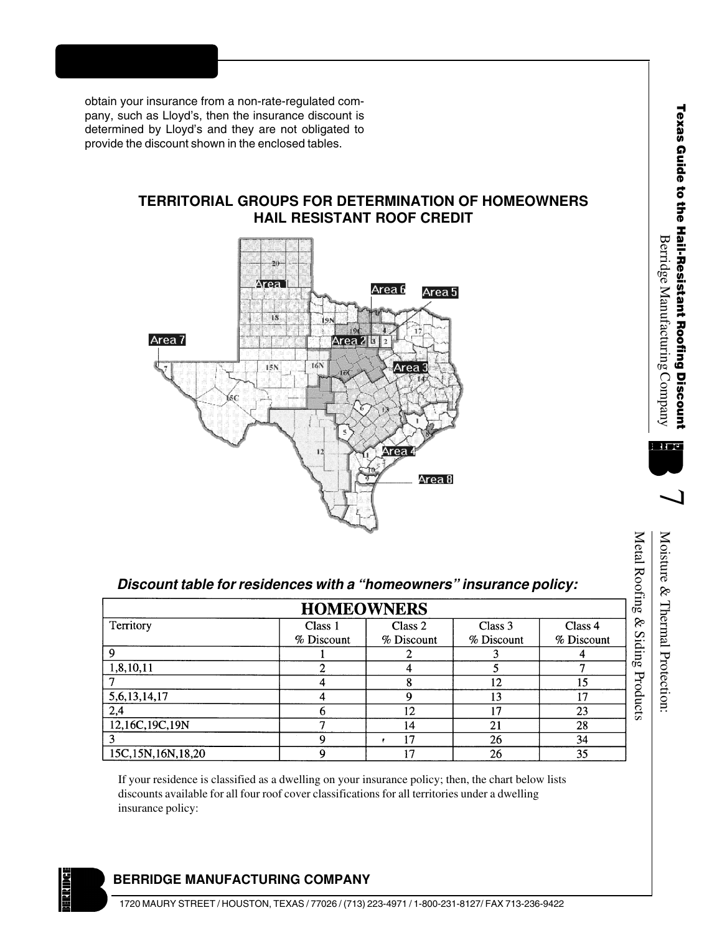obtain your insurance from a non-rate-regulated company, such as Lloyd's, then the insurance discount is determined by Lloyd's and they are not obligated to provide the discount shown in the enclosed tables.

#### **TERRITORIAL GROUPS FOR DETERMINATION OF HOMEOWNERS HAIL RESISTANT ROOF CREDIT**



<sub>ი</sub><br>მ

# $\overline{\phantom{a}}$

Moisture & Thermal Protection: Moisture & Thermal Protection:

## **Discount table for residences with a "homeowners" insurance policy:**

| Discount table for residences with a "homeowners" insurance policy:<br><b>HOMEOWNERS</b> |            |            |            |            |  |  |  |
|------------------------------------------------------------------------------------------|------------|------------|------------|------------|--|--|--|
| Territory                                                                                | Class 1    | Class 2    | Class 3    | Class 4    |  |  |  |
|                                                                                          | % Discount | % Discount | % Discount | % Discount |  |  |  |
| 9                                                                                        |            |            |            |            |  |  |  |
| 1,8,10,11                                                                                | 2          | 4          | 5          | 7          |  |  |  |
|                                                                                          | 4          | 8          | 12         | 15         |  |  |  |
| 5, 6, 13, 14, 17                                                                         | 4          | 9          | 13         | 17         |  |  |  |
| 2,4                                                                                      | 6          | 12         | 17         | 23         |  |  |  |
| 12,16C,19C,19N                                                                           | 7          | 14         | 21         | 28         |  |  |  |
|                                                                                          | 9          | 17         | 26         | 34         |  |  |  |
| 15C, 15N, 16N, 18, 20                                                                    | 9          | 17         | 26         | 35         |  |  |  |

If your residence is classified as a dwelling on your insurance policy; then, the chart below lists discounts available for all four roof cover classifications for all territories under a dwelling insurance policy:

### **BERRIDGE MANUFACTURING COMPANY**